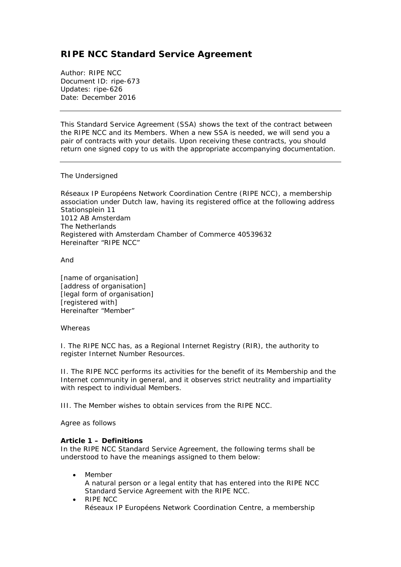# **RIPE NCC Standard Service Agreement**

Author: RIPE NCC Document ID: ripe-673 Updates: ripe-626 Date: December 2016

*This Standard Service Agreement (SSA) shows the text of the contract between the RIPE NCC and its Members. When a new SSA is needed, we will send you a pair of contracts with your details. Upon receiving these contracts, you should return one signed copy to us with the appropriate accompanying documentation.*

The Undersigned

Réseaux IP Européens Network Coordination Centre (RIPE NCC), a membership association under Dutch law, having its registered office at the following address Stationsplein 11 1012 AB Amsterdam The Netherlands Registered with Amsterdam Chamber of Commerce 40539632 Hereinafter "RIPE NCC"

And

[name of organisation] [address of organisation] [legal form of organisation] [registered with] Hereinafter "Member"

#### Whereas

I. The RIPE NCC has, as a Regional Internet Registry (RIR), the authority to register Internet Number Resources.

II. The RIPE NCC performs its activities for the benefit of its Membership and the Internet community in general, and it observes strict neutrality and impartiality with respect to individual Members.

III. The Member wishes to obtain services from the RIPE NCC.

Agree as follows

# **Article 1 – Definitions**

In the RIPE NCC Standard Service Agreement, the following terms shall be understood to have the meanings assigned to them below:

- **Member** A natural person or a legal entity that has entered into the RIPE NCC Standard Service Agreement with the RIPE NCC.
- RIPE NCC Réseaux IP Européens Network Coordination Centre, a membership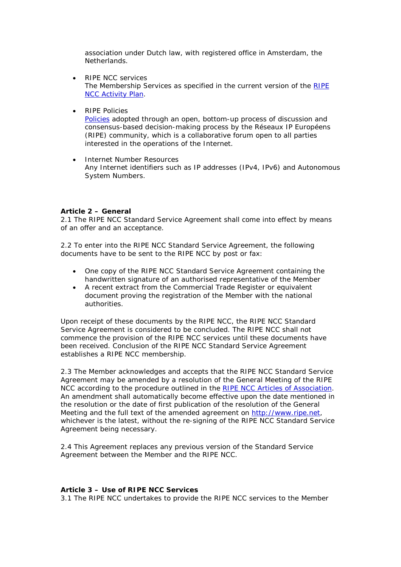association under Dutch law, with registered office in Amsterdam, the Netherlands.

- RIPE NCC services The Membership Services as specified in the current version of the [RIPE](https://www.ripe.net/publications/docs/ap)  [NCC Activity Plan.](https://www.ripe.net/publications/docs/ap)
- RIPE Policies

[Policies](https://www.ripe.net/ripe/policies) adopted through an open, bottom-up process of discussion and consensus-based decision-making process by the Réseaux IP Européens (RIPE) community, which is a collaborative forum open to all parties interested in the operations of the Internet.

• Internet Number Resources Any Internet identifiers such as IP addresses (IPv4, IPv6) and Autonomous System Numbers.

# **Article 2 – General**

2.1 The RIPE NCC Standard Service Agreement shall come into effect by means of an offer and an acceptance.

2.2 To enter into the RIPE NCC Standard Service Agreement, the following documents have to be sent to the RIPE NCC by post or fax:

- One copy of the RIPE NCC Standard Service Agreement containing the handwritten signature of an authorised representative of the Member
- A recent extract from the Commercial Trade Register or equivalent document proving the registration of the Member with the national authorities.

Upon receipt of these documents by the RIPE NCC, the RIPE NCC Standard Service Agreement is considered to be concluded. The RIPE NCC shall not commence the provision of the RIPE NCC services until these documents have been received. Conclusion of the RIPE NCC Standard Service Agreement establishes a RIPE NCC membership.

2.3 The Member acknowledges and accepts that the RIPE NCC Standard Service Agreement may be amended by a resolution of the General Meeting of the RIPE NCC according to the procedure outlined in the [RIPE NCC Articles of Association.](https://www.ripe.net/publications/docs/articles-association) An amendment shall automatically become effective upon the date mentioned in the resolution or the date of first publication of the resolution of the General Meeting and the full text of the amended agreement on http://www.ripe.net. whichever is the latest, without the re-signing of the RIPE NCC Standard Service Agreement being necessary.

2.4 This Agreement replaces any previous version of the Standard Service Agreement between the Member and the RIPE NCC.

#### **Article 3 – Use of RIPE NCC Services**

3.1 The RIPE NCC undertakes to provide the RIPE NCC services to the Member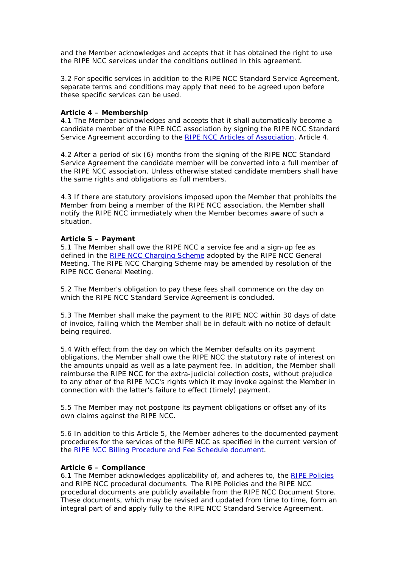and the Member acknowledges and accepts that it has obtained the right to use the RIPE NCC services under the conditions outlined in this agreement.

3.2 For specific services in addition to the RIPE NCC Standard Service Agreement, separate terms and conditions may apply that need to be agreed upon before these specific services can be used.

## **Article 4 – Membership**

4.1 The Member acknowledges and accepts that it shall automatically become a candidate member of the RIPE NCC association by signing the RIPE NCC Standard Service Agreement according to the [RIPE NCC Articles of Association,](https://www.ripe.net/publications/docs/articles-association) Article 4.

4.2 After a period of six (6) months from the signing of the RIPE NCC Standard Service Agreement the candidate member will be converted into a full member of the RIPE NCC association. Unless otherwise stated candidate members shall have the same rights and obligations as full members.

4.3 If there are statutory provisions imposed upon the Member that prohibits the Member from being a member of the RIPE NCC association, the Member shall notify the RIPE NCC immediately when the Member becomes aware of such a situation.

## **Article 5 – Payment**

5.1 The Member shall owe the RIPE NCC a service fee and a sign-up fee as defined in the [RIPE NCC Charging Scheme](https://www.ripe.net/publications/docs/charging) adopted by the RIPE NCC General Meeting. The RIPE NCC Charging Scheme may be amended by resolution of the RIPE NCC General Meeting.

5.2 The Member's obligation to pay these fees shall commence on the day on which the RIPE NCC Standard Service Agreement is concluded.

5.3 The Member shall make the payment to the RIPE NCC within 30 days of date of invoice, failing which the Member shall be in default with no notice of default being required.

5.4 With effect from the day on which the Member defaults on its payment obligations, the Member shall owe the RIPE NCC the statutory rate of interest on the amounts unpaid as well as a late payment fee. In addition, the Member shall reimburse the RIPE NCC for the extra-judicial collection costs, without prejudice to any other of the RIPE NCC's rights which it may invoke against the Member in connection with the latter's failure to effect (timely) payment.

5.5 The Member may not postpone its payment obligations or offset any of its own claims against the RIPE NCC.

5.6 In addition to this Article 5, the Member adheres to the documented payment procedures for the services of the RIPE NCC as specified in the current version of the [RIPE NCC Billing Procedure and Fee Schedule document.](https://www.ripe.net/participate/billing/procedure)

#### **Article 6 – Compliance**

6.1 The Member acknowledges applicability of, and adheres to, the [RIPE Policies](https://www.ripe.net/ripe-policies) and RIPE NCC procedural documents. The RIPE Policies and the RIPE NCC procedural documents are publicly available from the RIPE NCC Document Store. These documents, which may be revised and updated from time to time, form an integral part of and apply fully to the RIPE NCC Standard Service Agreement.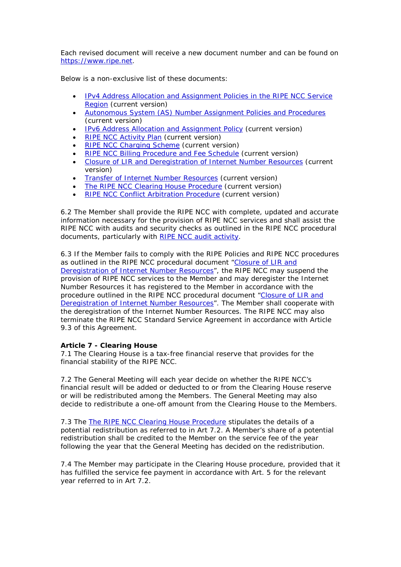Each revised document will receive a new document number and can be found on [https://www.ripe.net.](https://www.ripe.net/)

Below is a non-exclusive list of these documents:

- [IPv4 Address Allocation and Assignment Policies in the RIPE NCC Service](https://www.ripe.net/publications/docs/ipv4-policies)  [Region](https://www.ripe.net/publications/docs/ipv4-policies) (current version)
- [Autonomous System \(AS\) Number Assignment Policies and Procedures](https://www.ripe.net/publications/docs/asn-assignment) (current version)
- [IPv6 Address Allocation and Assignment Policy](https://www.ripe.net/publications/docs/ipv6-policies) (current version)
- [RIPE NCC Activity Plan](https://www.ripe.net/publications/docs/ap) (current version)
- **[RIPE NCC Charging Scheme](https://www.ripe.net/publications/docs/charging) (current version)**
- [RIPE NCC Billing Procedure and Fee Schedule](https://www.ripe.net/participate/billing/procedure) (current version)
- [Closure of LIR and Deregistration of Internet Number Resources](https://www.ripe.net/publications/docs/closure) (current version)
- **[Transfer of Internet Number Resources](https://www.ripe.net/publications/docs/transfer) (current version)**
- [The RIPE NCC Clearing House Procedure](https://www.ripe.net/publications/docs/clearinghouse) (current version)
- [RIPE NCC Conflict Arbitration Procedure](https://www.ripe.net/publications/docs/arbitration) (current version)

6.2 The Member shall provide the RIPE NCC with complete, updated and accurate information necessary for the provision of RIPE NCC services and shall assist the RIPE NCC with audits and security checks as outlined in the RIPE NCC procedural documents, particularly with [RIPE NCC audit activity.](https://www.ripe.net/publications/docs/audit)

6.3 If the Member fails to comply with the RIPE Policies and RIPE NCC procedures as outlined in the RIPE NCC procedural document ["Closure of LIR and](https://www.ripe.net/publications/docs/closure)  [Deregistration of Internet Number Resources"](https://www.ripe.net/publications/docs/closure), the RIPE NCC may suspend the provision of RIPE NCC services to the Member and may deregister the Internet Number Resources it has registered to the Member in accordance with the procedure outlined in the RIPE NCC procedural document ["Closure of LIR and](https://www.ripe.net/publications/docs/closure)  [Deregistration of Internet Number Resources"](https://www.ripe.net/publications/docs/closure). The Member shall cooperate with the deregistration of the Internet Number Resources. The RIPE NCC may also terminate the RIPE NCC Standard Service Agreement in accordance with Article 9.3 of this Agreement.

# **Article 7 - Clearing House**

7.1 The Clearing House is a tax-free financial reserve that provides for the financial stability of the RIPE NCC.

7.2 The General Meeting will each year decide on whether the RIPE NCC's financial result will be added or deducted to or from the Clearing House reserve or will be redistributed among the Members. The General Meeting may also decide to redistribute a one-off amount from the Clearing House to the Members.

7.3 The [The RIPE NCC Clearing House Procedure](https://www.ripe.net/publications/docs/clearinghouse) stipulates the details of a potential redistribution as referred to in Art 7.2. A Member's share of a potential redistribution shall be credited to the Member on the service fee of the year following the year that the General Meeting has decided on the redistribution.

7.4 The Member may participate in the Clearing House procedure, provided that it has fulfilled the service fee payment in accordance with Art. 5 for the relevant year referred to in Art 7.2.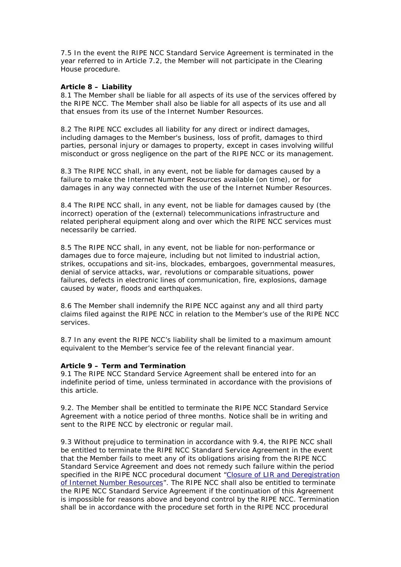7.5 In the event the RIPE NCC Standard Service Agreement is terminated in the year referred to in Article 7.2, the Member will not participate in the Clearing House procedure.

## **Article 8 – Liability**

8.1 The Member shall be liable for all aspects of its use of the services offered by the RIPE NCC. The Member shall also be liable for all aspects of its use and all that ensues from its use of the Internet Number Resources.

8.2 The RIPE NCC excludes all liability for any direct or indirect damages, including damages to the Member's business, loss of profit, damages to third parties, personal injury or damages to property, except in cases involving willful misconduct or gross negligence on the part of the RIPE NCC or its management.

8.3 The RIPE NCC shall, in any event, not be liable for damages caused by a failure to make the Internet Number Resources available (on time), or for damages in any way connected with the use of the Internet Number Resources.

8.4 The RIPE NCC shall, in any event, not be liable for damages caused by (the incorrect) operation of the (external) telecommunications infrastructure and related peripheral equipment along and over which the RIPE NCC services must necessarily be carried.

8.5 The RIPE NCC shall, in any event, not be liable for non-performance or damages due to force majeure, including but not limited to industrial action, strikes, occupations and sit-ins, blockades, embargoes, governmental measures, denial of service attacks, war, revolutions or comparable situations, power failures, defects in electronic lines of communication, fire, explosions, damage caused by water, floods and earthquakes.

8.6 The Member shall indemnify the RIPE NCC against any and all third party claims filed against the RIPE NCC in relation to the Member's use of the RIPE NCC services.

8.7 In any event the RIPE NCC's liability shall be limited to a maximum amount equivalent to the Member's service fee of the relevant financial year.

# **Article 9 – Term and Termination**

9.1 The RIPE NCC Standard Service Agreement shall be entered into for an indefinite period of time, unless terminated in accordance with the provisions of this article.

9.2. The Member shall be entitled to terminate the RIPE NCC Standard Service Agreement with a notice period of three months. Notice shall be in writing and sent to the RIPE NCC by electronic or regular mail.

9.3 Without prejudice to termination in accordance with 9.4, the RIPE NCC shall be entitled to terminate the RIPE NCC Standard Service Agreement in the event that the Member fails to meet any of its obligations arising from the RIPE NCC Standard Service Agreement and does not remedy such failure within the period specified in the RIPE NCC procedural document "Closure of LIR and Deregistration [of Internet Number Resources"](https://www.ripe.net/publications/docs/closure). The RIPE NCC shall also be entitled to terminate the RIPE NCC Standard Service Agreement if the continuation of this Agreement is impossible for reasons above and beyond control by the RIPE NCC. Termination shall be in accordance with the procedure set forth in the RIPE NCC procedural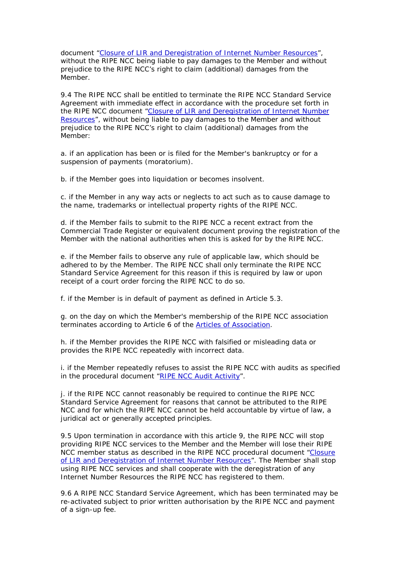document ["Closure of LIR and Deregistration of Internet Number Resources"](https://www.ripe.net/publications/docs/closure), without the RIPE NCC being liable to pay damages to the Member and without prejudice to the RIPE NCC's right to claim (additional) damages from the Member.

9.4 The RIPE NCC shall be entitled to terminate the RIPE NCC Standard Service Agreement with immediate effect in accordance with the procedure set forth in the RIPE NCC document ["Closure of LIR and Deregistration of Internet Number](https://www.ripe.net/publications/docs/closure)  [Resources"](https://www.ripe.net/publications/docs/closure), without being liable to pay damages to the Member and without prejudice to the RIPE NCC's right to claim (additional) damages from the Member:

a. if an application has been or is filed for the Member's bankruptcy or for a suspension of payments (moratorium).

b. if the Member goes into liquidation or becomes insolvent.

c. if the Member in any way acts or neglects to act such as to cause damage to the name, trademarks or intellectual property rights of the RIPE NCC.

d. if the Member fails to submit to the RIPE NCC a recent extract from the Commercial Trade Register or equivalent document proving the registration of the Member with the national authorities when this is asked for by the RIPE NCC.

e. if the Member fails to observe any rule of applicable law, which should be adhered to by the Member. The RIPE NCC shall only terminate the RIPE NCC Standard Service Agreement for this reason if this is required by law or upon receipt of a court order forcing the RIPE NCC to do so.

f. if the Member is in default of payment as defined in Article 5.3.

g. on the day on which the Member's membership of the RIPE NCC association terminates according to Article 6 of the [Articles of Association.](https://www.ripe.net/publications/docs/articles-association)

h. if the Member provides the RIPE NCC with falsified or misleading data or provides the RIPE NCC repeatedly with incorrect data.

i. if the Member repeatedly refuses to assist the RIPE NCC with audits as specified in the procedural document ["RIPE NCC Audit Activity"](https://www.ripe.net/publications/docs/audit).

j. if the RIPE NCC cannot reasonably be required to continue the RIPE NCC Standard Service Agreement for reasons that cannot be attributed to the RIPE NCC and for which the RIPE NCC cannot be held accountable by virtue of law, a juridical act or generally accepted principles.

9.5 Upon termination in accordance with this article 9, the RIPE NCC will stop providing RIPE NCC services to the Member and the Member will lose their RIPE NCC member status as described in the RIPE NCC procedural document "Closure [of LIR and Deregistration of Internet Number Resources"](https://www.ripe.net/publications/docs/closure). The Member shall stop using RIPE NCC services and shall cooperate with the deregistration of any Internet Number Resources the RIPE NCC has registered to them.

9.6 A RIPE NCC Standard Service Agreement, which has been terminated may be re-activated subject to prior written authorisation by the RIPE NCC and payment of a sign-up fee.